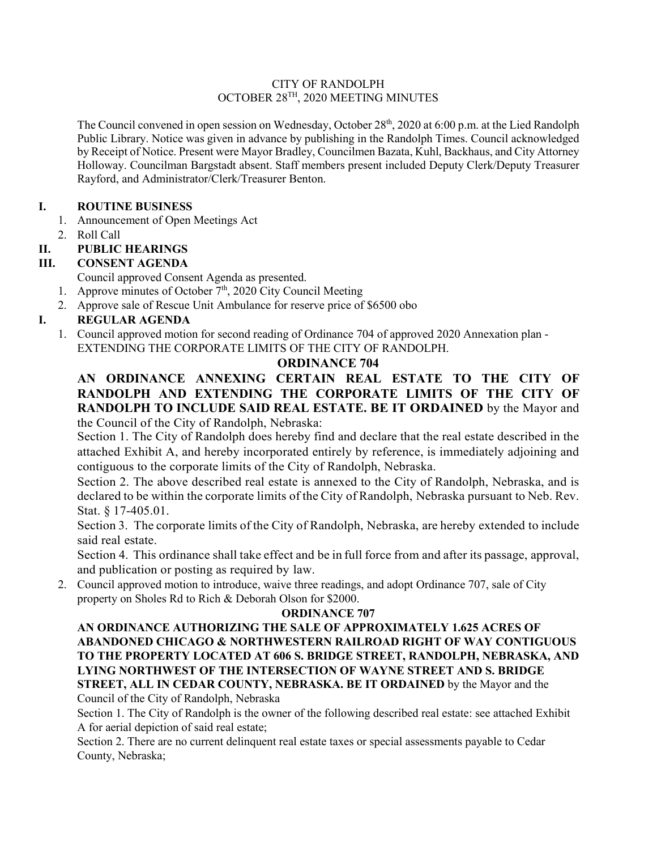#### CITY OF RANDOLPH OCTOBER 28TH, 2020 MEETING MINUTES

The Council convened in open session on Wednesday, October 28<sup>th</sup>, 2020 at 6:00 p.m. at the Lied Randolph Public Library. Notice was given in advance by publishing in the Randolph Times. Council acknowledged by Receipt of Notice. Present were Mayor Bradley, Councilmen Bazata, Kuhl, Backhaus, and City Attorney Holloway. Councilman Bargstadt absent. Staff members present included Deputy Clerk/Deputy Treasurer Rayford, and Administrator/Clerk/Treasurer Benton.

### **I. ROUTINE BUSINESS**

- 1. Announcement of Open Meetings Act
- 2. Roll Call

## **II. PUBLIC HEARINGS**

## **III. CONSENT AGENDA**

Council approved Consent Agenda as presented.

- 1. Approve minutes of October  $7<sup>th</sup>$ , 2020 City Council Meeting
- 2. Approve sale of Rescue Unit Ambulance for reserve price of \$6500 obo

# **I. REGULAR AGENDA**

1. Council approved motion for second reading of Ordinance 704 of approved 2020 Annexation plan - EXTENDING THE CORPORATE LIMITS OF THE CITY OF RANDOLPH.

## **ORDINANCE 704**

### **AN ORDINANCE ANNEXING CERTAIN REAL ESTATE TO THE CITY OF RANDOLPH AND EXTENDING THE CORPORATE LIMITS OF THE CITY OF RANDOLPH TO INCLUDE SAID REAL ESTATE. BE IT ORDAINED** by the Mayor and the Council of the City of Randolph, Nebraska:

Section 1. The City of Randolph does hereby find and declare that the real estate described in the attached Exhibit A, and hereby incorporated entirely by reference, is immediately adjoining and contiguous to the corporate limits of the City of Randolph, Nebraska.

Section 2. The above described real estate is annexed to the City of Randolph, Nebraska, and is declared to be within the corporate limits of the City of Randolph, Nebraska pursuant to Neb. Rev. Stat. § 17-405.01.

Section 3. The corporate limits of the City of Randolph, Nebraska, are hereby extended to include said real estate.

Section 4. This ordinance shall take effect and be in full force from and after its passage, approval, and publication or posting as required by law.

2. Council approved motion to introduce, waive three readings, and adopt Ordinance 707, sale of City property on Sholes Rd to Rich & Deborah Olson for \$2000.

### **ORDINANCE 707**

**AN ORDINANCE AUTHORIZING THE SALE OF APPROXIMATELY 1.625 ACRES OF ABANDONED CHICAGO & NORTHWESTERN RAILROAD RIGHT OF WAY CONTIGUOUS TO THE PROPERTY LOCATED AT 606 S. BRIDGE STREET, RANDOLPH, NEBRASKA, AND LYING NORTHWEST OF THE INTERSECTION OF WAYNE STREET AND S. BRIDGE STREET, ALL IN CEDAR COUNTY, NEBRASKA. BE IT ORDAINED** by the Mayor and the Council of the City of Randolph, Nebraska

Section 1. The City of Randolph is the owner of the following described real estate: see attached Exhibit A for aerial depiction of said real estate;

Section 2. There are no current delinquent real estate taxes or special assessments payable to Cedar County, Nebraska;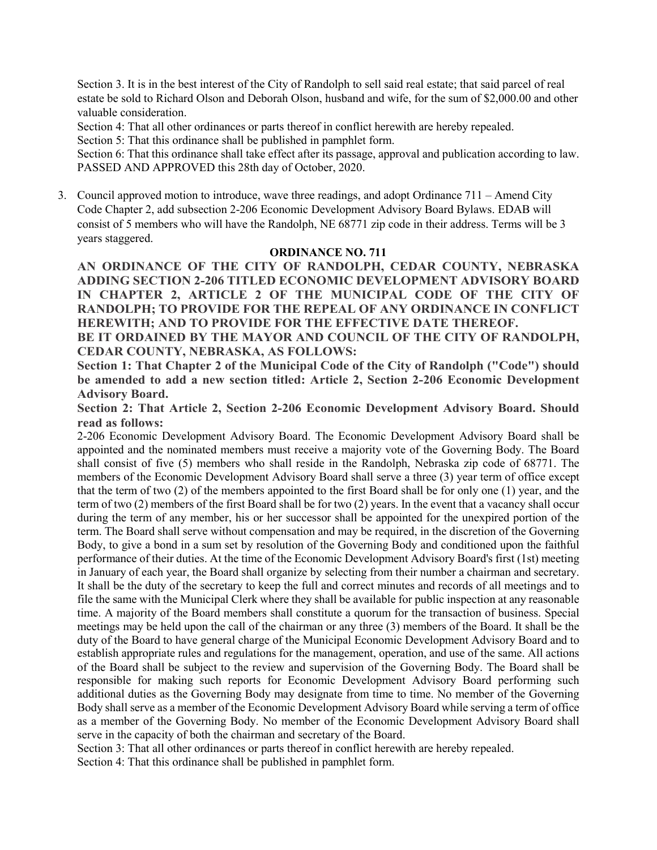Section 3. It is in the best interest of the City of Randolph to sell said real estate; that said parcel of real estate be sold to Richard Olson and Deborah Olson, husband and wife, for the sum of \$2,000.00 and other valuable consideration.

Section 4: That all other ordinances or parts thereof in conflict herewith are hereby repealed.

Section 5: That this ordinance shall be published in pamphlet form.

Section 6: That this ordinance shall take effect after its passage, approval and publication according to law. PASSED AND APPROVED this 28th day of October, 2020.

3. Council approved motion to introduce, wave three readings, and adopt Ordinance 711 – Amend City Code Chapter 2, add subsection 2-206 Economic Development Advisory Board Bylaws. EDAB will consist of 5 members who will have the Randolph, NE 68771 zip code in their address. Terms will be 3 years staggered.

#### **ORDINANCE NO. 711**

**AN ORDINANCE OF THE CITY OF RANDOLPH, CEDAR COUNTY, NEBRASKA ADDING SECTION 2-206 TITLED ECONOMIC DEVELOPMENT ADVISORY BOARD IN CHAPTER 2, ARTICLE 2 OF THE MUNICIPAL CODE OF THE CITY OF RANDOLPH; TO PROVIDE FOR THE REPEAL OF ANY ORDINANCE IN CONFLICT HEREWITH; AND TO PROVIDE FOR THE EFFECTIVE DATE THEREOF.** 

**BE IT ORDAINED BY THE MAYOR AND COUNCIL OF THE CITY OF RANDOLPH, CEDAR COUNTY, NEBRASKA, AS FOLLOWS:** 

**Section 1: That Chapter 2 of the Municipal Code of the City of Randolph ("Code") should be amended to add a new section titled: Article 2, Section 2-206 Economic Development Advisory Board.** 

**Section 2: That Article 2, Section 2-206 Economic Development Advisory Board. Should read as follows:**

2-206 Economic Development Advisory Board. The Economic Development Advisory Board shall be appointed and the nominated members must receive a majority vote of the Governing Body. The Board shall consist of five (5) members who shall reside in the Randolph, Nebraska zip code of 68771. The members of the Economic Development Advisory Board shall serve a three (3) year term of office except that the term of two (2) of the members appointed to the first Board shall be for only one (1) year, and the term of two (2) members of the first Board shall be for two (2) years. In the event that a vacancy shall occur during the term of any member, his or her successor shall be appointed for the unexpired portion of the term. The Board shall serve without compensation and may be required, in the discretion of the Governing Body, to give a bond in a sum set by resolution of the Governing Body and conditioned upon the faithful performance of their duties. At the time of the Economic Development Advisory Board's first (1st) meeting in January of each year, the Board shall organize by selecting from their number a chairman and secretary. It shall be the duty of the secretary to keep the full and correct minutes and records of all meetings and to file the same with the Municipal Clerk where they shall be available for public inspection at any reasonable time. A majority of the Board members shall constitute a quorum for the transaction of business. Special meetings may be held upon the call of the chairman or any three (3) members of the Board. It shall be the duty of the Board to have general charge of the Municipal Economic Development Advisory Board and to establish appropriate rules and regulations for the management, operation, and use of the same. All actions of the Board shall be subject to the review and supervision of the Governing Body. The Board shall be responsible for making such reports for Economic Development Advisory Board performing such additional duties as the Governing Body may designate from time to time. No member of the Governing Body shall serve as a member of the Economic Development Advisory Board while serving a term of office as a member of the Governing Body. No member of the Economic Development Advisory Board shall serve in the capacity of both the chairman and secretary of the Board.

Section 3: That all other ordinances or parts thereof in conflict herewith are hereby repealed.

Section 4: That this ordinance shall be published in pamphlet form.